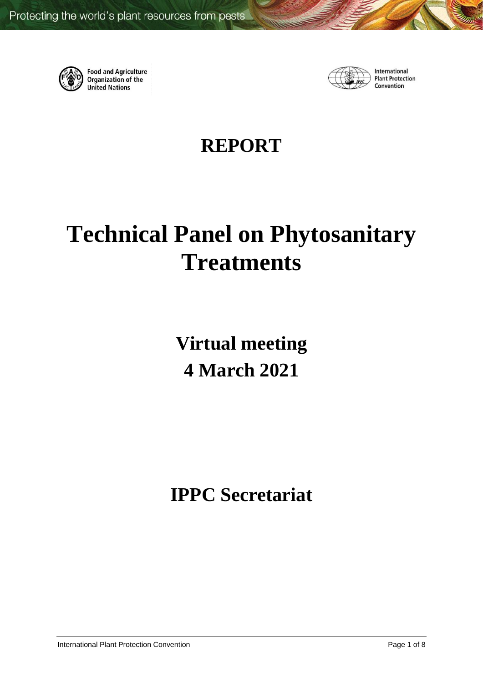

**Food and Agriculture**<br>Organization of the **United Nations** 



International **Plant Protection** Convention

# **REPORT**

# **Technical Panel on Phytosanitary Treatments**

**Virtual meeting 4 March 2021**

**IPPC Secretariat**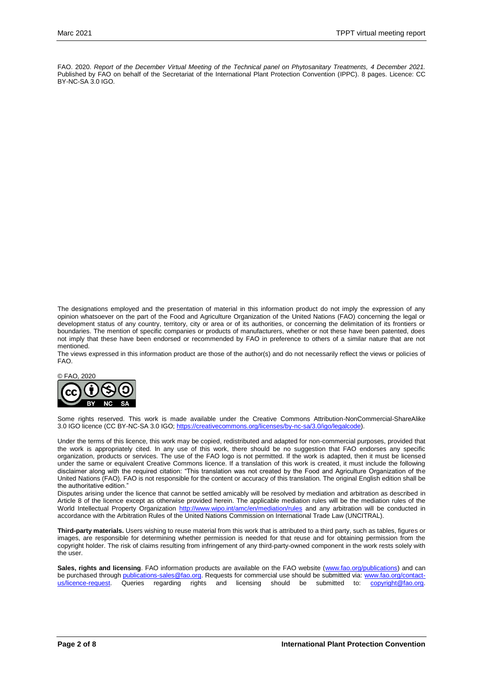FAO. 2020. *Report of the December Virtual Meeting of the Technical panel on Phytosanitary Treatments, 4 December 2021.*  Published by FAO on behalf of the Secretariat of the International Plant Protection Convention (IPPC). 8 pages. Licence: CC BY-NC-SA 3.0 IGO.

The designations employed and the presentation of material in this information product do not imply the expression of any opinion whatsoever on the part of the Food and Agriculture Organization of the United Nations (FAO) concerning the legal or development status of any country, territory, city or area or of its authorities, or concerning the delimitation of its frontiers or boundaries. The mention of specific companies or products of manufacturers, whether or not these have been patented, does not imply that these have been endorsed or recommended by FAO in preference to others of a similar nature that are not mentioned.

The views expressed in this information product are those of the author(s) and do not necessarily reflect the views or policies of FAO.



Some rights reserved. This work is made available under the Creative Commons Attribution-NonCommercial-ShareAlike 3.0 IGO licence (CC BY-NC-SA 3.0 IGO[; https://creativecommons.org/licenses/by-nc-sa/3.0/igo/legalcode\)](https://creativecommons.org/licenses/by-nc-sa/3.0/igo/legalcode).

Under the terms of this licence, this work may be copied, redistributed and adapted for non-commercial purposes, provided that the work is appropriately cited. In any use of this work, there should be no suggestion that FAO endorses any specific organization, products or services. The use of the FAO logo is not permitted. If the work is adapted, then it must be licensed under the same or equivalent Creative Commons licence. If a translation of this work is created, it must include the following disclaimer along with the required citation: "This translation was not created by the Food and Agriculture Organization of the United Nations (FAO). FAO is not responsible for the content or accuracy of this translation. The original English edition shall be the authoritative edition."

Disputes arising under the licence that cannot be settled amicably will be resolved by mediation and arbitration as described in Article 8 of the licence except as otherwise provided herein. The applicable mediation rules will be the mediation rules of the World Intellectual Property Organization<http://www.wipo.int/amc/en/mediation/rules> and any arbitration will be conducted in accordance with the Arbitration Rules of the United Nations Commission on International Trade Law (UNCITRAL).

**Third-party materials.** Users wishing to reuse material from this work that is attributed to a third party, such as tables, figures or images, are responsible for determining whether permission is needed for that reuse and for obtaining permission from the copyright holder. The risk of claims resulting from infringement of any third-party-owned component in the work rests solely with the user.

Sales, rights and licensing. FAO information products are available on the FAO website [\(www.fao.org/publications\)](http://www.fao.org/publications) and can be purchased through [publications-sales@fao.org.](mailto:publications-sales@fao.org) Requests for commercial use should be submitted via: [www.fao.org/contact](http://www.fao.org/contact-us/licence-request)[us/licence-request.](http://www.fao.org/contact-us/licence-request) Queries regarding rights and licensing should be submitted to: [copyright@fao.org.](mailto:copyright@fao.org)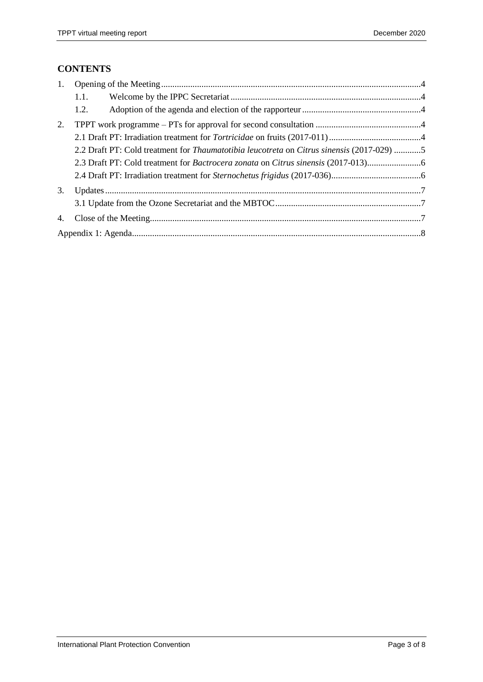# **CONTENTS**

| 1. |                                                                                           |  |  |  |  |
|----|-------------------------------------------------------------------------------------------|--|--|--|--|
|    | 1.1.                                                                                      |  |  |  |  |
|    | 1.2.                                                                                      |  |  |  |  |
| 2. |                                                                                           |  |  |  |  |
|    |                                                                                           |  |  |  |  |
|    | 2.2 Draft PT: Cold treatment for Thaumatotibia leucotreta on Citrus sinensis (2017-029) 5 |  |  |  |  |
|    |                                                                                           |  |  |  |  |
|    |                                                                                           |  |  |  |  |
| 3. |                                                                                           |  |  |  |  |
|    |                                                                                           |  |  |  |  |
| 4. |                                                                                           |  |  |  |  |
|    |                                                                                           |  |  |  |  |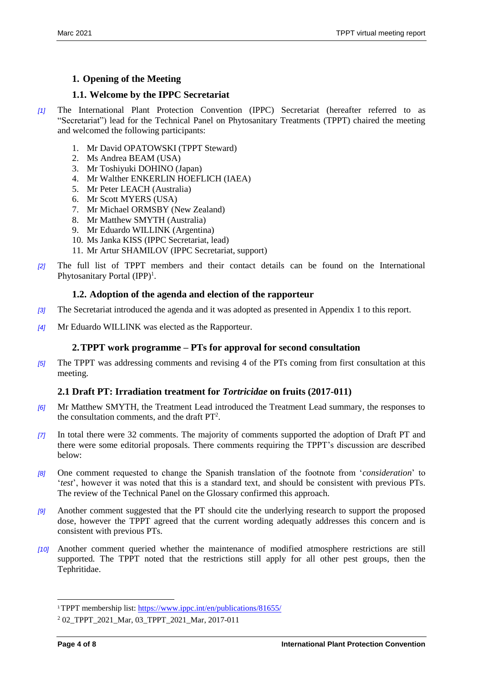# <span id="page-3-0"></span>**1. Opening of the Meeting**

#### <span id="page-3-1"></span>**1.1. Welcome by the IPPC Secretariat**

- *[1]* The International Plant Protection Convention (IPPC) Secretariat (hereafter referred to as "Secretariat") lead for the Technical Panel on Phytosanitary Treatments (TPPT) chaired the meeting and welcomed the following participants:
	- 1. Mr David OPATOWSKI (TPPT Steward)
	- 2. Ms Andrea BEAM (USA)
	- 3. Mr Toshiyuki DOHINO (Japan)
	- 4. Mr Walther ENKERLIN HOEFLICH (IAEA)
	- 5. Mr Peter LEACH (Australia)
	- 6. Mr Scott MYERS (USA)
	- 7. Mr Michael ORMSBY (New Zealand)
	- 8. Mr Matthew SMYTH (Australia)
	- 9. Mr Eduardo WILLINK (Argentina)
	- 10. Ms Janka KISS (IPPC Secretariat, lead)
	- 11. Mr Artur SHAMILOV (IPPC Secretariat, support)
- *[2]* The full list of TPPT members and their contact details can be found on the International Phytosanitary Portal (IPP)<sup>1</sup>.

#### <span id="page-3-2"></span>**1.2. Adoption of the agenda and election of the rapporteur**

- *[3]* The Secretariat introduced the agenda and it was adopted as presented in Appendix 1 to this report.
- *[4]* Mr Eduardo WILLINK was elected as the Rapporteur.

#### <span id="page-3-3"></span>**2.TPPT work programme – PTs for approval for second consultation**

*[5]* The TPPT was addressing comments and revising 4 of the PTs coming from first consultation at this meeting.

#### <span id="page-3-4"></span>**2.1 Draft PT: Irradiation treatment for** *Tortricidae* **on fruits (2017-011)**

- *[6]* Mr Matthew SMYTH, the Treatment Lead introduced the Treatment Lead summary, the responses to the consultation comments, and the draft PT<sup>2</sup>.
- *[7]* In total there were 32 comments. The majority of comments supported the adoption of Draft PT and there were some editorial proposals. There comments requiring the TPPT's discussion are described below:
- *[8]* One comment requested to change the Spanish translation of the footnote from '*consideration*' to '*test*', however it was noted that this is a standard text, and should be consistent with previous PTs. The review of the Technical Panel on the Glossary confirmed this approach.
- *[9]* Another comment suggested that the PT should cite the underlying research to support the proposed dose, however the TPPT agreed that the current wording adequatly addresses this concern and is consistent with previous PTs.
- *[10]* Another comment queried whether the maintenance of modified atmosphere restrictions are still supported. The TPPT noted that the restrictions still apply for all other pest groups, then the Tephritidae.

l

<sup>1</sup>TPPT membership list:<https://www.ippc.int/en/publications/81655/>

<sup>2</sup> 02\_TPPT\_2021\_Mar, 03\_TPPT\_2021\_Mar, 2017-011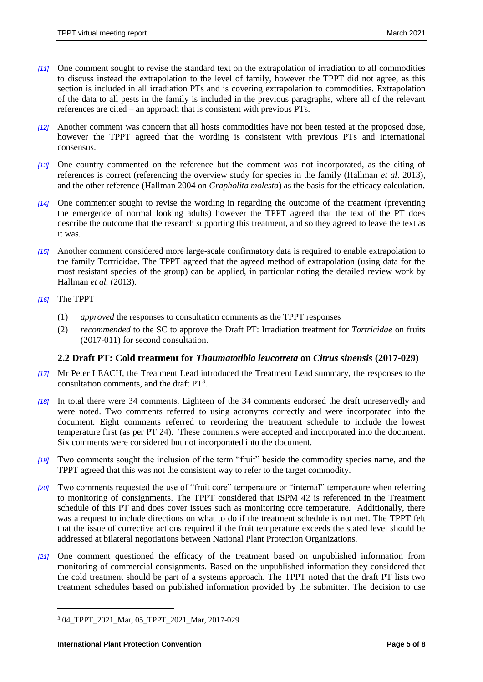- *[11]* One comment sought to revise the standard text on the extrapolation of irradiation to all commodities to discuss instead the extrapolation to the level of family, however the TPPT did not agree, as this section is included in all irradiation PTs and is covering extrapolation to commodities. Extrapolation of the data to all pests in the family is included in the previous paragraphs, where all of the relevant references are cited – an approach that is consistent with previous PTs.
- *[12]* Another comment was concern that all hosts commodities have not been tested at the proposed dose, however the TPPT agreed that the wording is consistent with previous PTs and international consensus.
- *[13]* One country commented on the reference but the comment was not incorporated, as the citing of references is correct (referencing the overview study for species in the family (Hallman *et al*. 2013), and the other reference (Hallman 2004 on *Grapholita molesta*) as the basis for the efficacy calculation.
- *[14]* One commenter sought to revise the wording in regarding the outcome of the treatment (preventing the emergence of normal looking adults) however the TPPT agreed that the text of the PT does describe the outcome that the research supporting this treatment, and so they agreed to leave the text as it was.
- *[15]* Another comment considered more large-scale confirmatory data is required to enable extrapolation to the family Tortricidae. The TPPT agreed that the agreed method of extrapolation (using data for the most resistant species of the group) can be applied, in particular noting the detailed review work by Hallman *et al.* (2013).
- *[16]* The TPPT

 $\overline{a}$ 

- (1) *approved* the responses to consultation comments as the TPPT responses
- (2) *recommended* to the SC to approve the Draft PT: Irradiation treatment for *Tortricidae* on fruits (2017-011) for second consultation.

#### <span id="page-4-0"></span>**2.2 Draft PT: Cold treatment for** *Thaumatotibia leucotreta* **on** *Citrus sinensis* **(2017-029)**

- *[17]* Mr Peter LEACH, the Treatment Lead introduced the Treatment Lead summary, the responses to the consultation comments, and the draft PT<sup>3</sup>.
- *[18]* In total there were 34 comments. Eighteen of the 34 comments endorsed the draft unreservedly and were noted. Two comments referred to using acronyms correctly and were incorporated into the document. Eight comments referred to reordering the treatment schedule to include the lowest temperature first (as per PT 24). These comments were accepted and incorporated into the document. Six comments were considered but not incorporated into the document.
- *[19]* Two comments sought the inclusion of the term "fruit" beside the commodity species name, and the TPPT agreed that this was not the consistent way to refer to the target commodity.
- *[20]* Two comments requested the use of "fruit core" temperature or "internal" temperature when referring to monitoring of consignments. The TPPT considered that ISPM 42 is referenced in the Treatment schedule of this PT and does cover issues such as monitoring core temperature. Additionally, there was a request to include directions on what to do if the treatment schedule is not met. The TPPT felt that the issue of corrective actions required if the fruit temperature exceeds the stated level should be addressed at bilateral negotiations between National Plant Protection Organizations.
- *[21]* One comment questioned the efficacy of the treatment based on unpublished information from monitoring of commercial consignments. Based on the unpublished information they considered that the cold treatment should be part of a systems approach. The TPPT noted that the draft PT lists two treatment schedules based on published information provided by the submitter. The decision to use

<sup>3</sup> 04\_TPPT\_2021\_Mar, 05\_TPPT\_2021\_Mar, 2017-029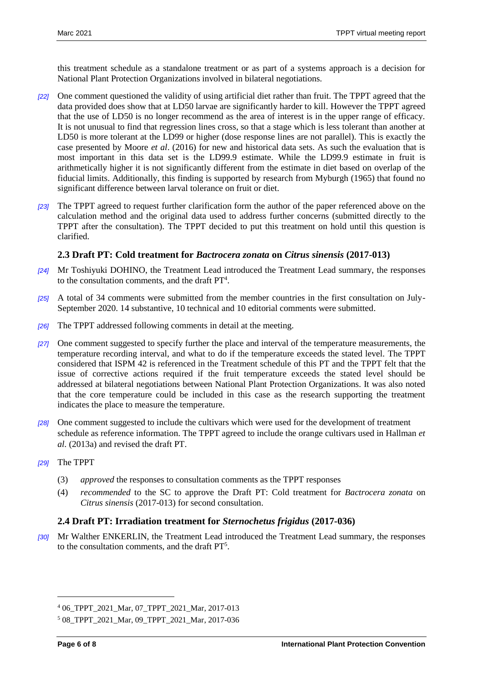this treatment schedule as a standalone treatment or as part of a systems approach is a decision for National Plant Protection Organizations involved in bilateral negotiations.

- *[22]* One comment questioned the validity of using artificial diet rather than fruit. The TPPT agreed that the data provided does show that at LD50 larvae are significantly harder to kill. However the TPPT agreed that the use of LD50 is no longer recommend as the area of interest is in the upper range of efficacy. It is not unusual to find that regression lines cross, so that a stage which is less tolerant than another at LD50 is more tolerant at the LD99 or higher (dose response lines are not parallel). This is exactly the case presented by Moore *et al*. (2016) for new and historical data sets. As such the evaluation that is most important in this data set is the LD99.9 estimate. While the LD99.9 estimate in fruit is arithmetically higher it is not significantly different from the estimate in diet based on overlap of the fiducial limits. Additionally, this finding is supported by research from Myburgh (1965) that found no significant difference between larval tolerance on fruit or diet.
- *[23]* The TPPT agreed to request further clarification form the author of the paper referenced above on the calculation method and the original data used to address further concerns (submitted directly to the TPPT after the consultation). The TPPT decided to put this treatment on hold until this question is clarified.

#### <span id="page-5-0"></span>**2.3 Draft PT: Cold treatment for** *Bactrocera zonata* **on** *Citrus sinensis* **(2017-013)**

- *[24]* Mr Toshiyuki DOHINO, the Treatment Lead introduced the Treatment Lead summary, the responses to the consultation comments, and the draft  $PT<sup>4</sup>$ .
- *[25]* A total of 34 comments were submitted from the member countries in the first consultation on July-September 2020. 14 substantive, 10 technical and 10 editorial comments were submitted.
- *[26]* The TPPT addressed following comments in detail at the meeting.
- *[27]* One comment suggested to specify further the place and interval of the temperature measurements, the temperature recording interval, and what to do if the temperature exceeds the stated level. The TPPT considered that ISPM 42 is referenced in the Treatment schedule of this PT and the TPPT felt that the issue of corrective actions required if the fruit temperature exceeds the stated level should be addressed at bilateral negotiations between National Plant Protection Organizations. It was also noted that the core temperature could be included in this case as the research supporting the treatment indicates the place to measure the temperature.
- *[28]* One comment suggested to include the cultivars which were used for the development of treatment schedule as reference information. The TPPT agreed to include the orange cultivars used in Hallman *et al.* (2013a) and revised the draft PT.
- *[29]* The TPPT
	- (3) *approved* the responses to consultation comments as the TPPT responses
	- (4) *recommended* to the SC to approve the Draft PT: Cold treatment for *Bactrocera zonata* on *Citrus sinensis* (2017-013) for second consultation.

# <span id="page-5-1"></span>**2.4 Draft PT: Irradiation treatment for** *Sternochetus frigidus* **(2017-036)**

*[30]* Mr Walther ENKERLIN, the Treatment Lead introduced the Treatment Lead summary, the responses to the consultation comments, and the draft PT<sup>5</sup>.

l

<sup>4</sup> 06\_TPPT\_2021\_Mar, 07\_TPPT\_2021\_Mar, 2017-013

<sup>5</sup> 08\_TPPT\_2021\_Mar, 09\_TPPT\_2021\_Mar, 2017-036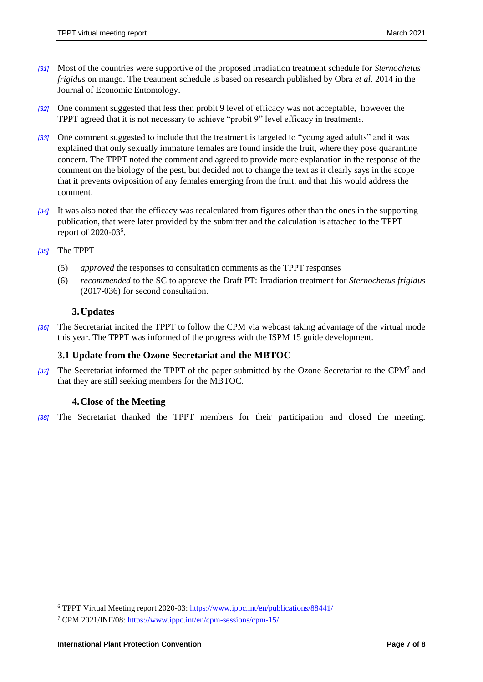- *[31]* Most of the countries were supportive of the proposed irradiation treatment schedule for *Sternochetus frigidus* on mango. The treatment schedule is based on research published by Obra *et al.* 2014 in the Journal of Economic Entomology.
- *[32]* One comment suggested that less then probit 9 level of efficacy was not acceptable, however the TPPT agreed that it is not necessary to achieve "probit 9" level efficacy in treatments.
- *[33]* One comment suggested to include that the treatment is targeted to "young aged adults" and it was explained that only sexually immature females are found inside the fruit, where they pose quarantine concern. The TPPT noted the comment and agreed to provide more explanation in the response of the comment on the biology of the pest, but decided not to change the text as it clearly says in the scope that it prevents oviposition of any females emerging from the fruit, and that this would address the comment.
- *[34]* It was also noted that the efficacy was recalculated from figures other than the ones in the supporting publication, that were later provided by the submitter and the calculation is attached to the TPPT report of 2020-03<sup>6</sup>.
- *[35]* The TPPT

l

- (5) *approved* the responses to consultation comments as the TPPT responses
- (6) *recommended* to the SC to approve the Draft PT: Irradiation treatment for *Sternochetus frigidus* (2017-036) for second consultation.

#### <span id="page-6-0"></span>**3.Updates**

*[36]* The Secretariat incited the TPPT to follow the CPM via webcast taking advantage of the virtual mode this year. The TPPT was informed of the progress with the ISPM 15 guide development.

#### <span id="page-6-1"></span>**3.1 Update from the Ozone Secretariat and the MBTOC**

[37] The Secretariat informed the TPPT of the paper submitted by the Ozone Secretariat to the CPM<sup>7</sup> and that they are still seeking members for the MBTOC.

#### <span id="page-6-2"></span>**4.Close of the Meeting**

*[38]* The Secretariat thanked the TPPT members for their participation and closed the meeting.

<sup>6</sup> TPPT Virtual Meeting report 2020-03:<https://www.ippc.int/en/publications/88441/>

<sup>7</sup> CPM 2021/INF/08:<https://www.ippc.int/en/cpm-sessions/cpm-15/>